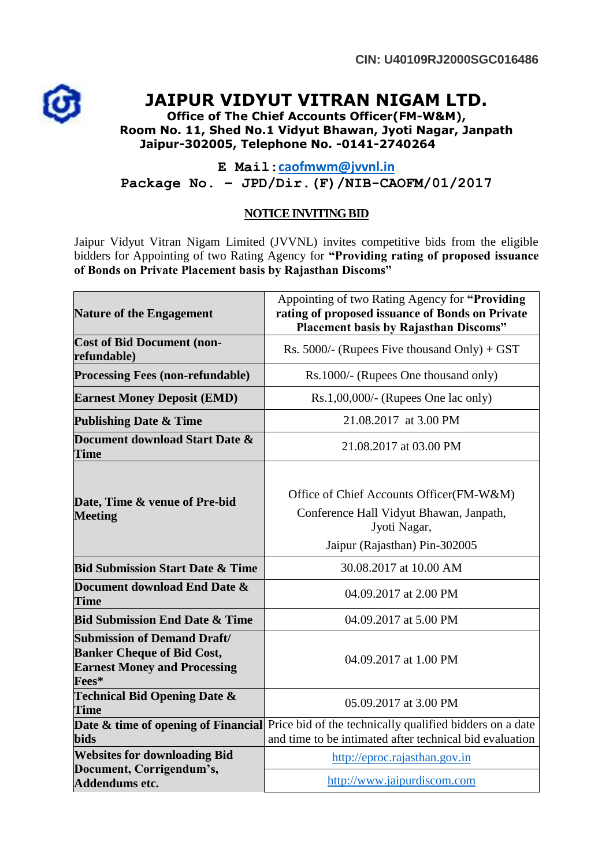

## **JAIPUR VIDYUT VITRAN NIGAM LTD.**

**Office of The Chief Accounts Officer(FM-W&M), Room No. 11, Shed No.1 Vidyut Bhawan, Jyoti Nagar, Janpath Jaipur-302005, Telephone No. -0141-2740264**

**E Mail:[caofmwm@jvvnl.in](mailto:caofmwm@jvvnl.in) Package No. – JPD/Dir.(F)/NIB-CAOFM/01/2017**

## **NOTICE INVITING BID**

Jaipur Vidyut Vitran Nigam Limited (JVVNL) invites competitive bids from the eligible bidders for Appointing of two Rating Agency for **"Providing rating of proposed issuance of Bonds on Private Placement basis by Rajasthan Discoms"**

| <b>Nature of the Engagement</b>                                                                                         | Appointing of two Rating Agency for "Providing<br>rating of proposed issuance of Bonds on Private<br><b>Placement basis by Rajasthan Discoms"</b>       |
|-------------------------------------------------------------------------------------------------------------------------|---------------------------------------------------------------------------------------------------------------------------------------------------------|
| <b>Cost of Bid Document (non-</b><br>refundable)                                                                        | Rs. 5000/- (Rupees Five thousand Only) + GST                                                                                                            |
| <b>Processing Fees (non-refundable)</b>                                                                                 | Rs.1000/- (Rupees One thousand only)                                                                                                                    |
| <b>Earnest Money Deposit (EMD)</b>                                                                                      | $Rs.1,00,000/$ - (Rupees One lac only)                                                                                                                  |
| <b>Publishing Date &amp; Time</b>                                                                                       | 21.08.2017 at 3.00 PM                                                                                                                                   |
| Document download Start Date &<br><b>Time</b>                                                                           | 21.08.2017 at 03.00 PM                                                                                                                                  |
| Date, Time & venue of Pre-bid<br><b>Meeting</b>                                                                         | Office of Chief Accounts Officer(FM-W&M)<br>Conference Hall Vidyut Bhawan, Janpath,<br>Jyoti Nagar,<br>Jaipur (Rajasthan) Pin-302005                    |
| <b>Bid Submission Start Date &amp; Time</b>                                                                             | 30.08.2017 at 10.00 AM                                                                                                                                  |
| Document download End Date &<br><b>Time</b>                                                                             | 04.09.2017 at 2.00 PM                                                                                                                                   |
| <b>Bid Submission End Date &amp; Time</b>                                                                               | 04.09.2017 at 5.00 PM                                                                                                                                   |
| <b>Submission of Demand Draft/</b><br><b>Banker Cheque of Bid Cost,</b><br><b>Earnest Money and Processing</b><br>Fees* | 04.09.2017 at 1.00 PM                                                                                                                                   |
| <b>Technical Bid Opening Date &amp;</b><br><b>Time</b>                                                                  | 05.09.2017 at 3.00 PM                                                                                                                                   |
| <b>bids</b>                                                                                                             | Date & time of opening of Financial Price bid of the technically qualified bidders on a date<br>and time to be intimated after technical bid evaluation |
| <b>Websites for downloading Bid</b>                                                                                     | http://eproc.rajasthan.gov.in                                                                                                                           |
| Document, Corrigendum's,<br>Addendums etc.                                                                              | http://www.jaipurdiscom.com                                                                                                                             |